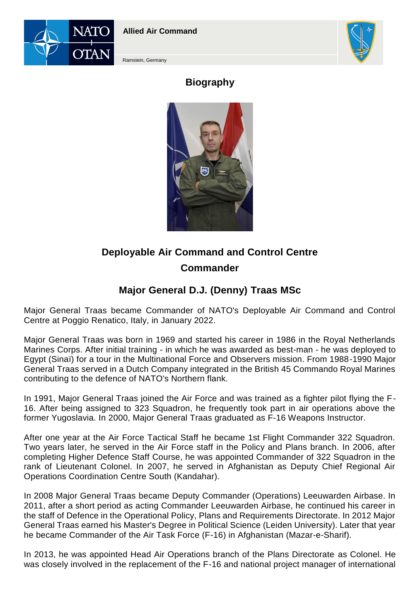

**Allied Air Command**



Ramstein, Germany

## **Biography**



## **Deployable Air Command and Control Centre Commander**

## **Major General D.J. (Denny) Traas MSc**

Major General Traas became Commander of NATO's Deployable Air Command and Control Centre at Poggio Renatico, Italy, in January 2022.

Major General Traas was born in 1969 and started his career in 1986 in the Royal Netherlands Marines Corps. After initial training - in which he was awarded as best-man - he was deployed to Egypt (Sinaï) for a tour in the Multinational Force and Observers mission. From 1988-1990 Major General Traas served in a Dutch Company integrated in the British 45 Commando Royal Marines contributing to the defence of NATO's Northern flank.

In 1991, Major General Traas joined the Air Force and was trained as a fighter pilot flying the F-16. After being assigned to 323 Squadron, he frequently took part in air operations above the former Yugoslavia. In 2000, Major General Traas graduated as F-16 Weapons Instructor.

After one year at the Air Force Tactical Staff he became 1st Flight Commander 322 Squadron. Two years later, he served in the Air Force staff in the Policy and Plans branch. In 2006, after completing Higher Defence Staff Course, he was appointed Commander of 322 Squadron in the rank of Lieutenant Colonel. In 2007, he served in Afghanistan as Deputy Chief Regional Air Operations Coordination Centre South (Kandahar).

In 2008 Major General Traas became Deputy Commander (Operations) Leeuwarden Airbase. In 2011, after a short period as acting Commander Leeuwarden Airbase, he continued his career in the staff of Defence in the Operational Policy, Plans and Requirements Directorate. In 2012 Major General Traas earned his Master's Degree in Political Science (Leiden University). Later that year he became Commander of the Air Task Force (F-16) in Afghanistan (Mazar-e-Sharif).

In 2013, he was appointed Head Air Operations branch of the Plans Directorate as Colonel. He was closely involved in the replacement of the F-16 and national project manager of international